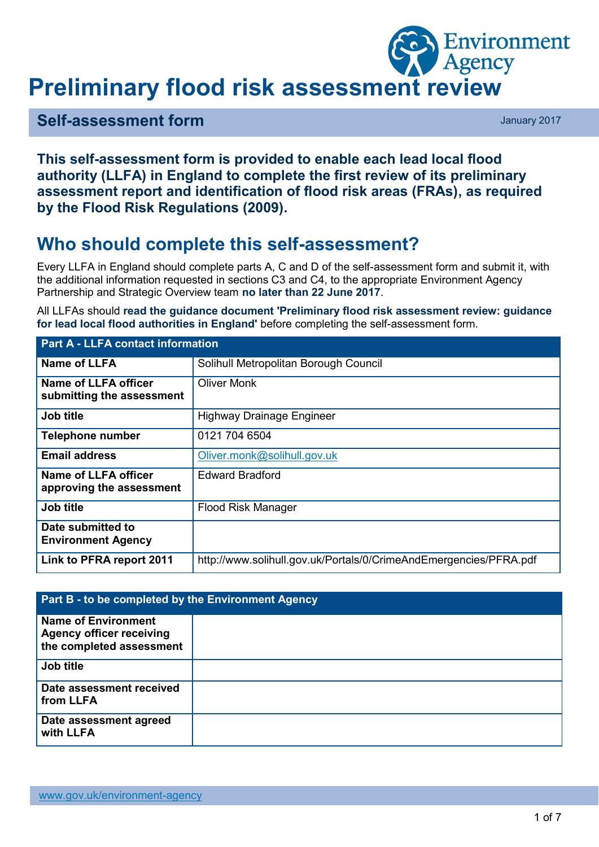# **Preliminary flood risk assessment review**

**Self-assessment form Self-assessment form**  $J$ 

<u>ivironment</u>

gency

**This self-assessment form is provided to enable each lead local flood authority (LLFA) in England to complete the first review of its preliminary assessment report and identification of flood risk areas (FRAs), as required by the Flood Risk Regulations (2009).** 

# **Who should complete this self-assessment?**

Every LLFA in England should complete parts A, C and D of the self-assessment form and submit it, with the additional information requested in sections C3 and C4, to the appropriate Environment Agency Partnership and Strategic Overview team **no later than 22 June 2017**.

All LLFAs should **read the guidance document 'Preliminary flood risk assessment review: guidance for lead local flood authorities in England'** before completing the self-assessment form.

| <b>Part A - LLFA contact information</b>          |                                                                   |
|---------------------------------------------------|-------------------------------------------------------------------|
| <b>Name of LLFA</b>                               | Solihull Metropolitan Borough Council                             |
| Name of LLFA officer<br>submitting the assessment | <b>Oliver Monk</b>                                                |
| <b>Job title</b>                                  | Highway Drainage Engineer                                         |
| <b>Telephone number</b>                           | 0121 704 6504                                                     |
| <b>Email address</b>                              | Oliver.monk@solihull.gov.uk                                       |
| Name of LLFA officer<br>approving the assessment  | <b>Edward Bradford</b>                                            |
| Job title                                         | <b>Flood Risk Manager</b>                                         |
| Date submitted to<br><b>Environment Agency</b>    |                                                                   |
| Link to PFRA report 2011                          | http://www.solihull.gov.uk/Portals/0/CrimeAndEmergencies/PFRA.pdf |

| Part B - to be completed by the Environment Agency                                        |  |
|-------------------------------------------------------------------------------------------|--|
| <b>Name of Environment</b><br><b>Agency officer receiving</b><br>the completed assessment |  |
| Job title                                                                                 |  |
| Date assessment received<br>from LLFA                                                     |  |
| Date assessment agreed<br>with LLFA                                                       |  |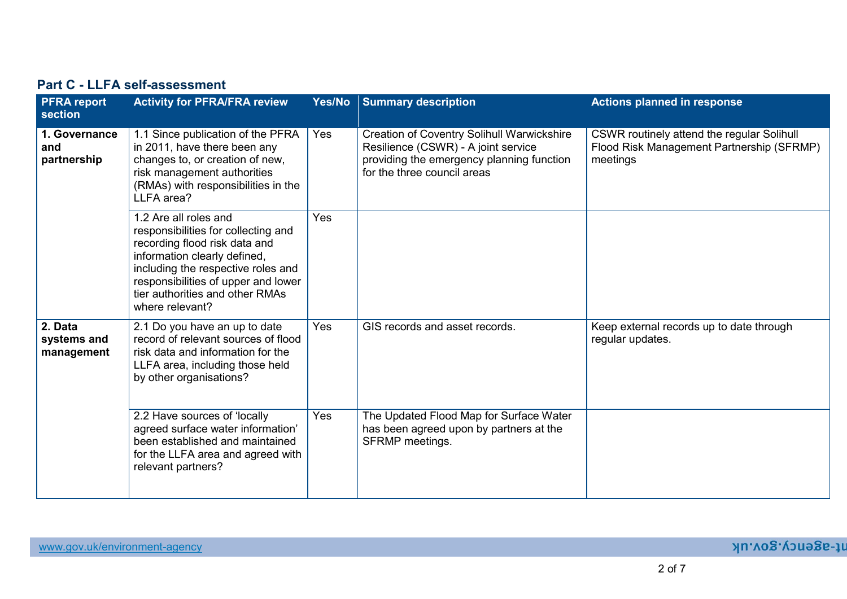| <b>Part C - LLFA self-assessment</b> |  |
|--------------------------------------|--|
|--------------------------------------|--|

| <b>PFRA report</b><br>section        | <b>Activity for PFRA/FRA review</b>                                                                                                                                                                                                                              |     | <b>Yes/No</b> Summary description                                                                                                                                    | <b>Actions planned in response</b>                                                                  |
|--------------------------------------|------------------------------------------------------------------------------------------------------------------------------------------------------------------------------------------------------------------------------------------------------------------|-----|----------------------------------------------------------------------------------------------------------------------------------------------------------------------|-----------------------------------------------------------------------------------------------------|
| 1. Governance<br>and<br>partnership  | 1.1 Since publication of the PFRA<br>in 2011, have there been any<br>changes to, or creation of new,<br>risk management authorities<br>(RMAs) with responsibilities in the<br>LLFA area?                                                                         | Yes | <b>Creation of Coventry Solihull Warwickshire</b><br>Resilience (CSWR) - A joint service<br>providing the emergency planning function<br>for the three council areas | CSWR routinely attend the regular Solihull<br>Flood Risk Management Partnership (SFRMP)<br>meetings |
|                                      | 1.2 Are all roles and<br>responsibilities for collecting and<br>recording flood risk data and<br>information clearly defined,<br>including the respective roles and<br>responsibilities of upper and lower<br>tier authorities and other RMAs<br>where relevant? | Yes |                                                                                                                                                                      |                                                                                                     |
| 2. Data<br>systems and<br>management | 2.1 Do you have an up to date<br>record of relevant sources of flood<br>risk data and information for the<br>LLFA area, including those held<br>by other organisations?                                                                                          | Yes | GIS records and asset records.                                                                                                                                       | Keep external records up to date through<br>regular updates.                                        |
|                                      | 2.2 Have sources of 'locally<br>agreed surface water information'<br>been established and maintained<br>for the LLFA area and agreed with<br>relevant partners?                                                                                                  | Yes | The Updated Flood Map for Surface Water<br>has been agreed upon by partners at the<br>SFRMP meetings.                                                                |                                                                                                     |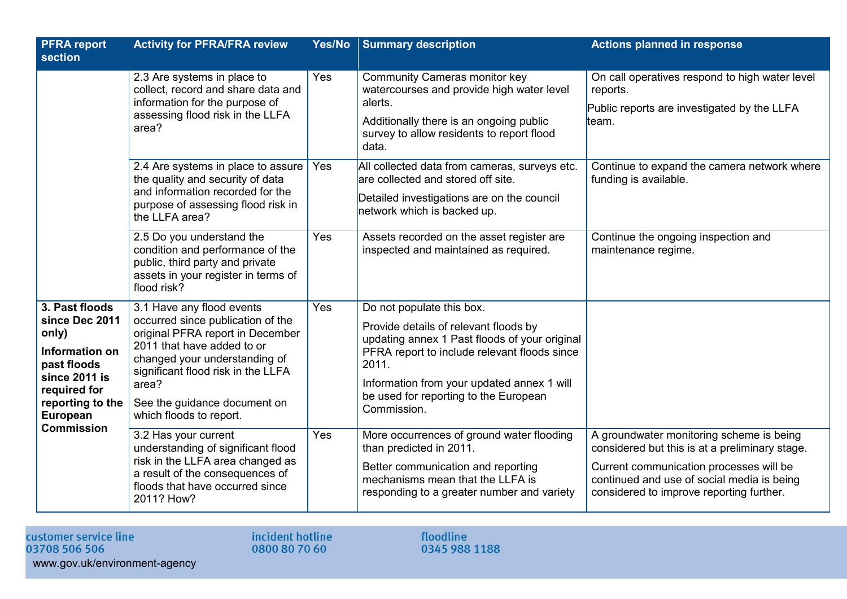| <b>PFRA report</b>                                                                               | <b>Activity for PFRA/FRA review</b>                                                                                                                                                 |     | <b>Yes/No</b> Summary description                                                                                                                                                             | <b>Actions planned in response</b>                                                                                                |
|--------------------------------------------------------------------------------------------------|-------------------------------------------------------------------------------------------------------------------------------------------------------------------------------------|-----|-----------------------------------------------------------------------------------------------------------------------------------------------------------------------------------------------|-----------------------------------------------------------------------------------------------------------------------------------|
| section                                                                                          |                                                                                                                                                                                     |     |                                                                                                                                                                                               |                                                                                                                                   |
|                                                                                                  | 2.3 Are systems in place to<br>collect, record and share data and<br>information for the purpose of<br>assessing flood risk in the LLFA<br>area?                                    | Yes | <b>Community Cameras monitor key</b><br>watercourses and provide high water level<br>alerts.<br>Additionally there is an ongoing public<br>survey to allow residents to report flood<br>data. | On call operatives respond to high water level<br>reports.<br>Public reports are investigated by the LLFA<br>team.                |
|                                                                                                  | 2.4 Are systems in place to assure<br>the quality and security of data                                                                                                              | Yes | All collected data from cameras, surveys etc.<br>are collected and stored off site.                                                                                                           | Continue to expand the camera network where<br>funding is available.                                                              |
|                                                                                                  | and information recorded for the<br>purpose of assessing flood risk in<br>the LLFA area?                                                                                            |     | Detailed investigations are on the council<br>network which is backed up.                                                                                                                     |                                                                                                                                   |
|                                                                                                  | 2.5 Do you understand the<br>condition and performance of the<br>public, third party and private<br>assets in your register in terms of<br>flood risk?                              | Yes | Assets recorded on the asset register are<br>inspected and maintained as required.                                                                                                            | Continue the ongoing inspection and<br>maintenance regime.                                                                        |
| 3. Past floods                                                                                   | 3.1 Have any flood events                                                                                                                                                           | Yes | Do not populate this box.                                                                                                                                                                     |                                                                                                                                   |
| since Dec 2011<br>only)<br><b>Information on</b><br>past floods<br>since 2011 is<br>required for | occurred since publication of the<br>original PFRA report in December<br>2011 that have added to or<br>changed your understanding of<br>significant flood risk in the LLFA<br>area? |     | Provide details of relevant floods by<br>updating annex 1 Past floods of your original<br>PFRA report to include relevant floods since<br>2011.<br>Information from your updated annex 1 will |                                                                                                                                   |
| reporting to the<br>European<br><b>Commission</b>                                                | See the guidance document on<br>which floods to report.                                                                                                                             |     | be used for reporting to the European<br>Commission.                                                                                                                                          |                                                                                                                                   |
|                                                                                                  | 3.2 Has your current<br>understanding of significant flood                                                                                                                          | Yes | More occurrences of ground water flooding<br>than predicted in 2011.                                                                                                                          | A groundwater monitoring scheme is being<br>considered but this is at a preliminary stage.                                        |
|                                                                                                  | risk in the LLFA area changed as<br>a result of the consequences of<br>floods that have occurred since<br>2011? How?                                                                |     | Better communication and reporting<br>mechanisms mean that the LLFA is<br>responding to a greater number and variety                                                                          | Current communication processes will be<br>continued and use of social media is being<br>considered to improve reporting further. |

customer service line<br>03708 506 506 www.gov.uk/environment-agency incident hotline<br>0800 80 70 60

floodline<br>0345 988 1188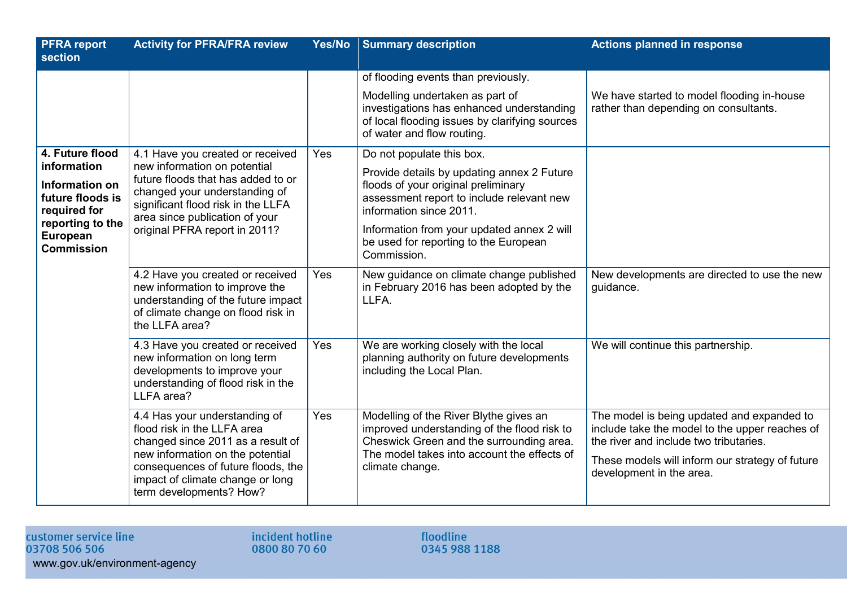| <b>PFRA report</b>                                        | <b>Activity for PFRA/FRA review</b>                                                                                                                                                                                                        |     | <b>Yes/No</b> Summary description                                                                                                                                                                   | <b>Actions planned in response</b>                                                                                                                                                                                    |
|-----------------------------------------------------------|--------------------------------------------------------------------------------------------------------------------------------------------------------------------------------------------------------------------------------------------|-----|-----------------------------------------------------------------------------------------------------------------------------------------------------------------------------------------------------|-----------------------------------------------------------------------------------------------------------------------------------------------------------------------------------------------------------------------|
| section                                                   |                                                                                                                                                                                                                                            |     |                                                                                                                                                                                                     |                                                                                                                                                                                                                       |
|                                                           |                                                                                                                                                                                                                                            |     | of flooding events than previously.                                                                                                                                                                 |                                                                                                                                                                                                                       |
|                                                           |                                                                                                                                                                                                                                            |     | Modelling undertaken as part of<br>investigations has enhanced understanding<br>of local flooding issues by clarifying sources<br>of water and flow routing.                                        | We have started to model flooding in-house<br>rather than depending on consultants.                                                                                                                                   |
| 4. Future flood                                           | 4.1 Have you created or received                                                                                                                                                                                                           | Yes | Do not populate this box.                                                                                                                                                                           |                                                                                                                                                                                                                       |
| information                                               | new information on potential<br>future floods that has added to or                                                                                                                                                                         |     | Provide details by updating annex 2 Future                                                                                                                                                          |                                                                                                                                                                                                                       |
| <b>Information on</b><br>future floods is<br>required for | changed your understanding of<br>significant flood risk in the LLFA<br>area since publication of your                                                                                                                                      |     | floods of your original preliminary<br>assessment report to include relevant new<br>information since 2011.                                                                                         |                                                                                                                                                                                                                       |
| reporting to the<br>European<br><b>Commission</b>         | original PFRA report in 2011?                                                                                                                                                                                                              |     | Information from your updated annex 2 will<br>be used for reporting to the European<br>Commission.                                                                                                  |                                                                                                                                                                                                                       |
|                                                           | 4.2 Have you created or received<br>new information to improve the<br>understanding of the future impact<br>of climate change on flood risk in<br>the LLFA area?                                                                           | Yes | New guidance on climate change published<br>in February 2016 has been adopted by the<br>LLFA.                                                                                                       | New developments are directed to use the new<br>guidance.                                                                                                                                                             |
|                                                           | 4.3 Have you created or received<br>new information on long term<br>developments to improve your<br>understanding of flood risk in the<br>LLFA area?                                                                                       | Yes | We are working closely with the local<br>planning authority on future developments<br>including the Local Plan.                                                                                     | We will continue this partnership.                                                                                                                                                                                    |
|                                                           | 4.4 Has your understanding of<br>flood risk in the LLFA area<br>changed since 2011 as a result of<br>new information on the potential<br>consequences of future floods, the<br>impact of climate change or long<br>term developments? How? | Yes | Modelling of the River Blythe gives an<br>improved understanding of the flood risk to<br>Cheswick Green and the surrounding area.<br>The model takes into account the effects of<br>climate change. | The model is being updated and expanded to<br>include take the model to the upper reaches of<br>the river and include two tributaries.<br>These models will inform our strategy of future<br>development in the area. |

customer service line<br>03708 506 506 www.gov.uk/environment-agency incident hotline<br>0800 80 70 60

floodline<br>0345 988 1188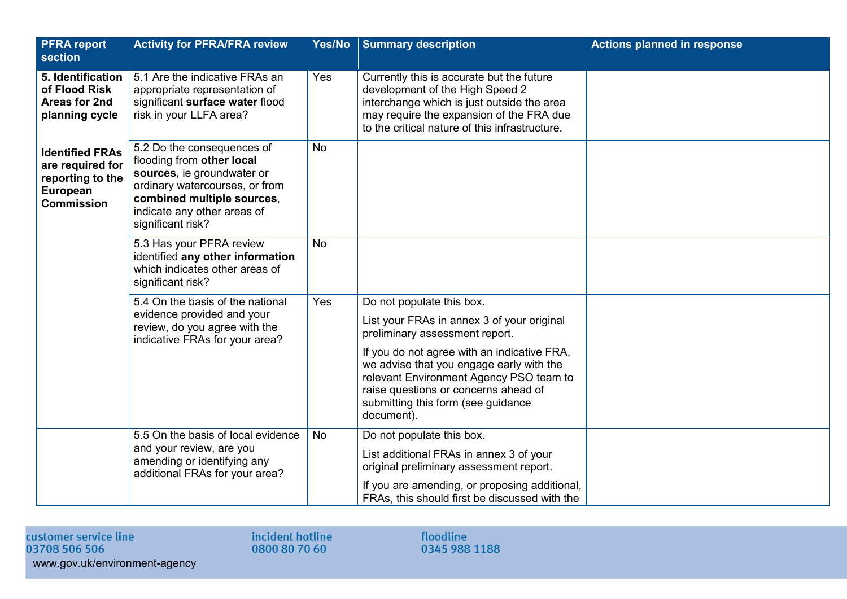| <b>PFRA report</b>                                                                              | <b>Activity for PFRA/FRA review</b>                                                                                                                                                                       | Yes/No    | <b>Summary description</b>                                                                                                                                                                                                                                                                                                                  | <b>Actions planned in response</b> |
|-------------------------------------------------------------------------------------------------|-----------------------------------------------------------------------------------------------------------------------------------------------------------------------------------------------------------|-----------|---------------------------------------------------------------------------------------------------------------------------------------------------------------------------------------------------------------------------------------------------------------------------------------------------------------------------------------------|------------------------------------|
| section                                                                                         |                                                                                                                                                                                                           |           |                                                                                                                                                                                                                                                                                                                                             |                                    |
| 5. Identification<br>of Flood Risk<br>Areas for 2nd<br>planning cycle                           | 5.1 Are the indicative FRAs an<br>appropriate representation of<br>significant surface water flood<br>risk in your LLFA area?                                                                             | Yes       | Currently this is accurate but the future<br>development of the High Speed 2<br>interchange which is just outside the area<br>may require the expansion of the FRA due<br>to the critical nature of this infrastructure.                                                                                                                    |                                    |
| <b>Identified FRAs</b><br>are required for<br>reporting to the<br>European<br><b>Commission</b> | 5.2 Do the consequences of<br>flooding from other local<br>sources, ie groundwater or<br>ordinary watercourses, or from<br>combined multiple sources,<br>indicate any other areas of<br>significant risk? | <b>No</b> |                                                                                                                                                                                                                                                                                                                                             |                                    |
|                                                                                                 | 5.3 Has your PFRA review<br>identified any other information<br>which indicates other areas of<br>significant risk?                                                                                       | <b>No</b> |                                                                                                                                                                                                                                                                                                                                             |                                    |
|                                                                                                 | 5.4 On the basis of the national<br>evidence provided and your<br>review, do you agree with the<br>indicative FRAs for your area?                                                                         | Yes       | Do not populate this box.<br>List your FRAs in annex 3 of your original<br>preliminary assessment report.<br>If you do not agree with an indicative FRA,<br>we advise that you engage early with the<br>relevant Environment Agency PSO team to<br>raise questions or concerns ahead of<br>submitting this form (see guidance<br>document). |                                    |
|                                                                                                 | 5.5 On the basis of local evidence<br>and your review, are you<br>amending or identifying any<br>additional FRAs for your area?                                                                           | No        | Do not populate this box.<br>List additional FRAs in annex 3 of your<br>original preliminary assessment report.<br>If you are amending, or proposing additional,<br>FRAs, this should first be discussed with the                                                                                                                           |                                    |

customer service line<br>03708 506 506 www.gov.uk/environment-agency incident hotline<br>0800 80 70 60

floodline<br>0345 988 1188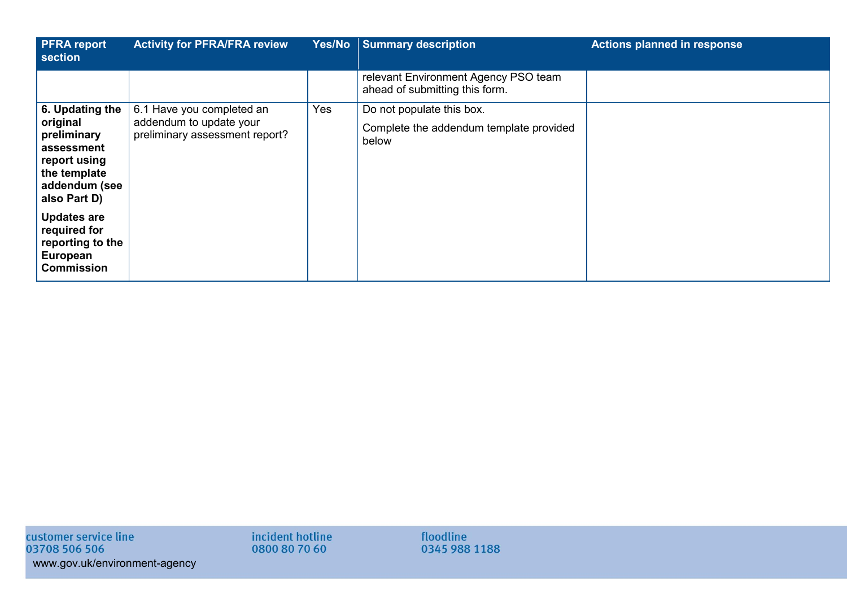| <b>PFRA</b> report<br>section                                                                          | <b>Activity for PFRA/FRA review</b>                       | Yes/No     | <b>Summary description</b>                                             | <b>Actions planned in response</b> |
|--------------------------------------------------------------------------------------------------------|-----------------------------------------------------------|------------|------------------------------------------------------------------------|------------------------------------|
|                                                                                                        |                                                           |            | relevant Environment Agency PSO team<br>ahead of submitting this form. |                                    |
| 6. Updating the                                                                                        | 6.1 Have you completed an                                 | <b>Yes</b> | Do not populate this box.                                              |                                    |
| original<br>preliminary<br>assessment<br>report using<br>the template<br>addendum (see<br>also Part D) | addendum to update your<br>preliminary assessment report? |            | Complete the addendum template provided<br>below                       |                                    |
| <b>Updates are</b><br>required for<br>reporting to the<br>European<br><b>Commission</b>                |                                                           |            |                                                                        |                                    |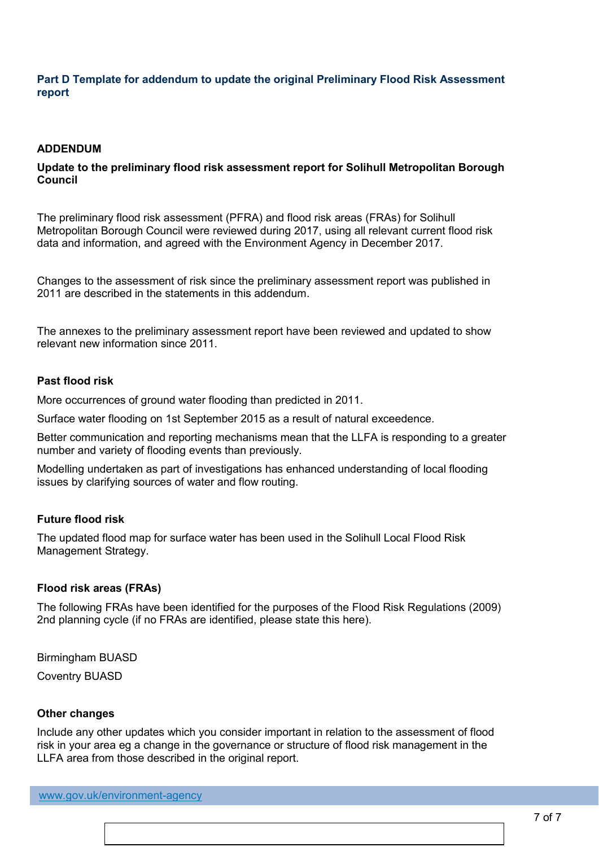# **Part D Template for addendum to update the original Preliminary Flood Risk Assessment report**

### **ADDENDUM**

## **Update to the preliminary flood risk assessment report for Solihull Metropolitan Borough Council**

The preliminary flood risk assessment (PFRA) and flood risk areas (FRAs) for Solihull Metropolitan Borough Council were reviewed during 2017, using all relevant current flood risk data and information, and agreed with the Environment Agency in December 2017.

Changes to the assessment of risk since the preliminary assessment report was published in 2011 are described in the statements in this addendum.

The annexes to the preliminary assessment report have been reviewed and updated to show relevant new information since 2011.

### **Past flood risk**

More occurrences of ground water flooding than predicted in 2011.

Surface water flooding on 1st September 2015 as a result of natural exceedence.

Better communication and reporting mechanisms mean that the LLFA is responding to a greater number and variety of flooding events than previously.

Modelling undertaken as part of investigations has enhanced understanding of local flooding issues by clarifying sources of water and flow routing.

#### **Future flood risk**

The updated flood map for surface water has been used in the Solihull Local Flood Risk Management Strategy.

#### **Flood risk areas (FRAs)**

The following FRAs have been identified for the purposes of the Flood Risk Regulations (2009) 2nd planning cycle (if no FRAs are identified, please state this here).

Birmingham BUASD

Coventry BUASD

#### **Other changes**

Include any other updates which you consider important in relation to the assessment of flood risk in your area eg a change in the governance or structure of flood risk management in the LLFA area from those described in the original report.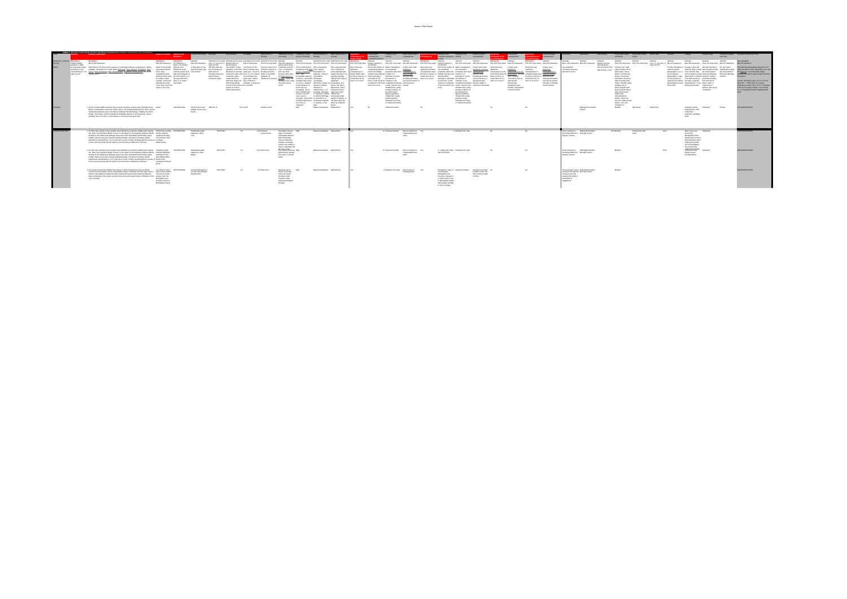|                                        |                                     | ANNEX 1: Records of past floods and their significant consequences (preliminary assessment report spreadsheet)                                                                                                                                                                                                                                                                                                                                                                                                                                                                                                                                              |                                                                                                                                                                                                                                                                                                                                                                                                             |                                                                     |                                                                                                                                                                                                                                                                                                                                                                                                                                                                                                                                                                                                      |                                                             |                                                                                                                                                                                                                                                                                                                                              |                                                                                                                                                                                                                                                                                                                                                                                                                                                                                                                                                                                                                                                                                                                                                 |                                                                                                                                                                                                                             |                                                                                                                                                                                                                                                                                                                                                                                                                                                                                                                                                                                                                                                              |                                                                                                                                                                                                                                                                                                                                                                                                                                                                                                                                                                                                                                          |                                                                                                                                 |                                                                                                                                                                                                                                                                                                                                                                                                                          |                                                                                                                                                                     |                                                                                                                                                                                                                                                                                                                                                                                                                                               |                                      |                                                                                                                                                                                                                                                                                                                                                                                                                                                                 |                                                                                                                                                                                      |                                                                                                                                                                                                                                                                                                                                                                                                                                                  |
|----------------------------------------|-------------------------------------|-------------------------------------------------------------------------------------------------------------------------------------------------------------------------------------------------------------------------------------------------------------------------------------------------------------------------------------------------------------------------------------------------------------------------------------------------------------------------------------------------------------------------------------------------------------------------------------------------------------------------------------------------------------|-------------------------------------------------------------------------------------------------------------------------------------------------------------------------------------------------------------------------------------------------------------------------------------------------------------------------------------------------------------------------------------------------------------|---------------------------------------------------------------------|------------------------------------------------------------------------------------------------------------------------------------------------------------------------------------------------------------------------------------------------------------------------------------------------------------------------------------------------------------------------------------------------------------------------------------------------------------------------------------------------------------------------------------------------------------------------------------------------------|-------------------------------------------------------------|----------------------------------------------------------------------------------------------------------------------------------------------------------------------------------------------------------------------------------------------------------------------------------------------------------------------------------------------|-------------------------------------------------------------------------------------------------------------------------------------------------------------------------------------------------------------------------------------------------------------------------------------------------------------------------------------------------------------------------------------------------------------------------------------------------------------------------------------------------------------------------------------------------------------------------------------------------------------------------------------------------------------------------------------------------------------------------------------------------|-----------------------------------------------------------------------------------------------------------------------------------------------------------------------------------------------------------------------------|--------------------------------------------------------------------------------------------------------------------------------------------------------------------------------------------------------------------------------------------------------------------------------------------------------------------------------------------------------------------------------------------------------------------------------------------------------------------------------------------------------------------------------------------------------------------------------------------------------------------------------------------------------------|------------------------------------------------------------------------------------------------------------------------------------------------------------------------------------------------------------------------------------------------------------------------------------------------------------------------------------------------------------------------------------------------------------------------------------------------------------------------------------------------------------------------------------------------------------------------------------------------------------------------------------------|---------------------------------------------------------------------------------------------------------------------------------|--------------------------------------------------------------------------------------------------------------------------------------------------------------------------------------------------------------------------------------------------------------------------------------------------------------------------------------------------------------------------------------------------------------------------|---------------------------------------------------------------------------------------------------------------------------------------------------------------------|-----------------------------------------------------------------------------------------------------------------------------------------------------------------------------------------------------------------------------------------------------------------------------------------------------------------------------------------------------------------------------------------------------------------------------------------------|--------------------------------------|-----------------------------------------------------------------------------------------------------------------------------------------------------------------------------------------------------------------------------------------------------------------------------------------------------------------------------------------------------------------------------------------------------------------------------------------------------------------|--------------------------------------------------------------------------------------------------------------------------------------------------------------------------------------|--------------------------------------------------------------------------------------------------------------------------------------------------------------------------------------------------------------------------------------------------------------------------------------------------------------------------------------------------------------------------------------------------------------------------------------------------|
|                                        |                                     | <b>Summary description</b>                                                                                                                                                                                                                                                                                                                                                                                                                                                                                                                                                                                                                                  | <b>Name of Location National Grid</b><br>Reference                                                                                                                                                                                                                                                                                                                                                          | Location Description Start date                                     | <b>Days duration</b> Probability                                                                                                                                                                                                                                                                                                                                                                                                                                                                                                                                                                     | Main source of<br>flooding                                  | of flooding                                                                                                                                                                                                                                                                                                                                  | Additional source(s) Confidence in main Main mechanism of Main characteristic of S<br>source of flooding flooding<br>flooding                                                                                                                                                                                                                                                                                                                                                                                                                                                                                                                                                                                                                   | Sianificant<br><b>Consequences -</b><br>onseauences to<br><b>Presidential properties</b><br>uman health _                                                                                                                   | consequences                                                                                                                                                                                                                                                                                                                                                                                                                                                                                                                                                                                                                                                 | Human health <b>Example 10</b> Property count Other human health <b>Significant economic</b> Number of non- Property count Other economic Significant<br><b>Exercise Exercise Service Service Service Service Service Service Service Service Service Service Service Service Service Service Service Service Service Service Service Service Service Service Service Service Service Ser</b><br><b>Consequences</b>                                                                                                                                                                                                                     | <b>Example 20 consequences</b> consequences<br>consequences<br>he environment:                                                  | <b>Environment</b><br>Cultural heritage<br><b>Example 1</b> Significant<br><b>Example 20 Separate Consequences</b><br>ltural heritade                                                                                                                                                                                                                                                                                    | Data owner<br>າmments                                                                                                                                               | Flood event outline Flood event outline Survey date<br><b>Example 2</b> Area flooded<br>confidence<br>source                                                                                                                                                                                                                                                                                                                                  |                                      | <b>Lineage</b>                                                                                                                                                                                                                                                                                                                                                                                                                                                  | Sensitive data<br>descriptor                                                                                                                                                         | Protective marking European Flood Event Code                                                                                                                                                                                                                                                                                                                                                                                                     |
| Mandatory / optional: <b>Mandatory</b> | Unique number<br>between 1-9999     | <b>Mandatory</b><br>Max 5,000 characters                                                                                                                                                                                                                                                                                                                                                                                                                                                                                                                                                                                                                    | <b>Mandatory</b><br><b>Mandatory</b><br>Max 250 characters<br>12 characters: 2<br>letters, 10 number                                                                                                                                                                                                                                                                                                        | <b>Optiona</b><br>vvvv-mm-dd'                                       | Optional for first cycle Optional for first cycle Optional for first cycle Optional for first cycle Optional<br>decimal places                                                                                                                                                                                                                                                                                                                                                                                                                                                                       | Max 25 characters  Pick from drop-down  Max 250 characters, | Optional<br>same source term:                                                                                                                                                                                                                                                                                                                | Optional for first cycle Optional for first cycle Mandatory<br>Pick from drop-down Pick from drop-down Pick from drop-down Pick from drop-down Number between 1-                                                                                                                                                                                                                                                                                                                                                                                                                                                                                                                                                                                | Optional<br>10,000,000                                                                                                                                                                                                      | Optional<br>Optional<br>Pick from drop-down Max 250 characters Pick from drop-down Number between 1-                                                                                                                                                                                                                                                                                                                                                                                                                                                                                                                                                         | Optional<br>Optional<br>10,000,000                                                                                                                                                                                                                                                                                                                                                                                                                                                                                                                                                                                                       | Optional<br>wandatory                                                                                                           | Optional<br>Optiona<br>Pick from drop-down Max 250 characters Pick from drop-down Max 250 characters Pick from drop-down Max 250 characters                                                                                                                                                                                                                                                                              | <b>Optional</b><br>Optiona<br>Max 1.000 characters Max 250 chara                                                                                                    | Optional<br>Optional<br>Optional<br>Pick from drop-down Pick from drop-down 'vvvv' or 'vvvv-mm' or Max 50 characters<br>decimal places                                                                                                                                                                                                                                                                                                        | Optional<br>Optional<br>'yyyy-mm-dd' | Optional                                                                                                                                                                                                                                                                                                                                                                                                                                                        | Optional<br>Max 250 characters  Pick from drop-down  Max 50 characters                                                                                                               | uto-populated<br>Max 42 characters                                                                                                                                                                                                                                                                                                                                                                                                               |
|                                        | A sequential number<br>each record. | Description of the flood and its adverse or potentially adverse consequences. V<br>starting at 1 and available, information from other fields (Start date, Days duration, Probability, Main<br>incrementing by 1 for source, Main mechanism, Main characteristics, Significant consequences) should be<br>repeated here.                                                                                                                                                                                                                                                                                                                                    | Name of the locality National Grid<br>Reference of the<br>associated with the<br>centroid (centre point, was floode<br>flood, using<br>falls within polygon) of<br>recognised postal<br>address names such the flood extent, or of<br>as streets, towns, the area affected if<br>counties. If the flood there is no extent<br>affected the whole information.<br>LLFA, then record the<br>name of the LLFA. | when land not<br>water became<br>covered by water.                  | The date when the The number of days The chance of the Pick the source from If flooding occurred Pick a broad level of Pick a mechanism<br>(duration) of the flood - flood occuring in any which the majority of<br>that land not normally qiven year - record X flooding occurred.<br>normally covered by covered by water was from "a 1 in X chance Refer to the PFRA<br>covered by water.<br>of occurring in anv<br>within the range 0.01 - this is difficult to<br>999.99 (permitting estimate, a range can<br>records to the nearest be recorded.<br>quarter of an hour,<br>where appropriate). |                                                             | with, any other<br>sources (other than from; 'High'<br>the Main source of<br>Values should be given year". Where definitions of sources. flooding), report the of source - about 80% (floodwater<br>source(s) here, using confident that source overtopping<br>the same source<br>terms<br>source but not<br>'Low' (source<br>is correct) or | from: 'Flash flood'<br>(rises and falls quite<br>source of flooding exceedance'<br>capacity), 'Defence<br>rapidly with little or no<br>advance warning).<br>exceedanc<br>'Natural flood' (due to<br>significant<br>is correct), 'Medium' defences), 'Failure' (of precipitation, at a<br>(some evidence of natural or artificial<br>slower rate than a<br>flash flood), 'Snow<br>defences or<br>compelling - about infrastructure, or of melt flood' (due to<br>source is correct) or restriction' (natural 'Debris flow'<br>or artificial blockage (conveying a high<br>assumed - about 20% or restriction of a degree of debris), or<br>confident that source conveyance channel 'No data'. Most UK<br>or system), or 'No floods are 'Natural | Pick a characteristic Were there any<br>residential properties<br>human health when<br>either internallv or<br>the flood occurred. o<br>would there be if it<br>externally by the<br>were to re-occur?<br>were to re-occur. | Record the number of Where residential or If there were other Were there any<br>non-residential<br>where the building properties have been consequen<br>structure was affected counted, it is<br>human health<br>describe them<br>important to record<br>the method of<br>including information<br>flood, or that would be counting, to aid<br>such as the number o<br>so affected if the flood comparisons between critical services<br>counts. Choose from; flooded.<br>'Detailed GIS' (using<br>property outlines, as<br>per Environment<br>Agency guidance),<br>'Simple GIS' (using<br>property points),<br>'Estimate from map',<br>or 'Observed number' | Record the number of Where residential or If there were other Were there any<br>the flood occurred, or building structure was counted, it is<br>affected either<br>would there be if it<br>important to record<br>internally or externally the method of<br>by the flood, or that counting, to aid<br>would be so affected comparisons between flooded, length of<br>if the flood were to re- counts. Choose from; roads and rail flooded.<br>'Detailed GIS' (using<br>occur.<br>property outlines, as<br>per Environment<br>Agency guidance),<br>'Simple GIS' (using<br>property points),<br>'Estimate from map<br>or 'Observed number' | describe them<br>environment when the<br>including information<br>such as the area of<br>agricultural land<br>were to re-occur? | If there were<br>It there were<br>Significant<br>. environment. describe cultural heritage when cultural heritage.<br>the flood occurred, or describe them<br>would there be if it including information<br>information such as<br>such as the number<br>were to re-occur?<br>national and<br>and type of heritage<br>international<br>assets flooded.<br>designated sites<br>flooded, and pollution<br>sources flooded. | Anv additional<br>comments about the<br>past flood record.                                                                                                          | The total area of the Choose from; 'High'<br>land flooded, in $km^2$ (data includes one of<br>Aerial video, Aerial<br>photos, Professional<br>survey, Flood level<br>information, EA flood<br>data recording staff<br>notes), 'Medium' (data<br>includes one of:<br>EA/LA ground video,<br>EA/LA ground photo<br>EA/LA flood event<br>outline map,<br>LA/professional<br>partner officer site<br>records, Public ground<br>video), 'Low' (not | relevant specific<br>flood event.    | Provide references to Lineage is how and Has the information For use where<br>photographs, or to a from. Has this data the Government's the Government's<br>photographs. It may data owned or derived Scheme? Include Scheme.<br>not be practical to from data owned by protective marking<br>reference all relevant 3rd party (external) time limit where<br>photographs for each organisations? If yes known. Note: If<br>please give details.  "Approved for | what the data is made been classified under organisations apply<br>set of relevant been created by using Protective Marking Protective Marking<br>Access" then report<br>"Unmarked". | This field will autopopulate using the LLF/<br>name provided on the "Instructions" tab, and<br>the Flood ID. It is an EU-wide unique<br>identifier and will be used to report the flood<br>Format: UK <ons code=""><p f="" or=""><llfa<br>Flood ID&gt;. "ONS Code" is a unique<br/>reference for each LLFA. "P or F" indicates<br/>if the event is past or future. "LLFA Flood<br/>ID" is a sequential number beginning with</llfa<br></p></ons> |
| Example:                               |                                     | 1 On the 14 April 1998 an intense storm system produced surface water flooding across Essex<br>Essex, concentrated in the west of the county. The flooding lasted about 6 hours, and 23<br>residential properties were recorded as suffering internal flooding, in Epping and North<br>Weald. The surface runoff exceeded the drainage capacity in several places, and so<br>probably had a 1 in 30 to 1 in 50 chance of occuring in any given year.                                                                                                                                                                                                        | SX1234512345                                                                                                                                                                                                                                                                                                                                                                                                | Several towns and 1998-04-15<br>villages across west<br>Essex       | 0.25 20-50                                                                                                                                                                                                                                                                                                                                                                                                                                                                                                                                                                                           | Surface runoff                                              | 'Unknown<br>Hinh                                                                                                                                                                                                                                                                                                                             | floods'.<br>data'.<br>Natural exceedance Natural flood                                                                                                                                                                                                                                                                                                                                                                                                                                                                                                                                                                                                                                                                                          | - Yes                                                                                                                                                                                                                       | Observed number                                                                                                                                                                                                                                                                                                                                                                                                                                                                                                                                                                                                                                              |                                                                                                                                                                                                                                                                                                                                                                                                                                                                                                                                                                                                                                          |                                                                                                                                 |                                                                                                                                                                                                                                                                                                                                                                                                                          | <b>Epping Forest District</b>                                                                                                                                       | confident) or<br>Medium<br>Site survey                                                                                                                                                                                                                                                                                                                                                                                                        | 1998-04-20                           | <b>Ordnance Survey</b><br>AddressPoint; CEH<br>1:50k River<br>Centreline; NextMap<br>DTM.                                                                                                                                                                                                                                                                                                                                                                       | Private<br>Unmarked                                                                                                                                                                  | UKE10000012P000                                                                                                                                                                                                                                                                                                                                                                                                                                  |
| Records begin here:                    |                                     | 1 On 20th July a period of wet weather was followed by an intense rainfall event causing Nethercote Gardens, SP4103827904<br>the River Cole and River Blythe to flood. In the region of 20 properties suffered internal Shirley suffered<br>flooding in the Solihull area although many more were threatened with flooding. Many significant flooding<br>smaller watercourses also caused localised flooding. The period of intense rainfall fom the River Cole<br>experienced represented a 1 in 75 year storm event. Propery flooding lasted in escess of (Ordinary<br>4 hours and river levels did not return to non-flood flow conditions for 48 hours. | Watercourse)                                                                                                                                                                                                                                                                                                                                                                                                | <b>Residential estate</b><br>adjacent to River<br>Cole.             | 20/07/2007                                                                                                                                                                                                                                                                                                                                                                                                                                                                                                                                                                                           | 0.33 Ordinary<br>watercourses                               | Secondary sources High<br>apply. Floodwater<br>overtopped adjacent<br>Mill Pond flowing<br>down to Netercote<br>Gardens. Drainage<br>system was unable to<br>cope or discharge into                                                                                                                                                          | Natural exceedance Natural flood                                                                                                                                                                                                                                                                                                                                                                                                                                                                                                                                                                                                                                                                                                                |                                                                                                                                                                                                                             | 37 Observed number Risk to health from Yes<br>contaminated flood<br>water                                                                                                                                                                                                                                                                                                                                                                                                                                                                                                                                                                                    | 0 Estimate from map                                                                                                                                                                                                                                                                                                                                                                                                                                                                                                                                                                                                                      |                                                                                                                                 |                                                                                                                                                                                                                                                                                                                                                                                                                          | Flood insurance is Solihull Metropolitan<br>becoming difficult for Borough Council<br>property owners                                                               | 0.03 Medium<br><b>Professional staff</b><br>notes                                                                                                                                                                                                                                                                                                                                                                                             | - 2010                               | River Cole Local Unmarked<br>Flood Risk<br>Management Plan .<br>Assessment of Flood<br>Risk November 2010.<br>Prepared by Atkins<br>Ltd for Birmingham<br>City Council and                                                                                                                                                                                                                                                                                      |                                                                                                                                                                                      | UKE08000029P0001                                                                                                                                                                                                                                                                                                                                                                                                                                 |
|                                        |                                     | 2 On 20th July a period of wet weather was followed by an intense rainfall event causing Cheswick Green SP4125227556<br>the River Cole and River Blythe to flood. In the region of 20 properties suffered internal suffered significant<br>flooding in the Solihull area although many more were threatened with flooding. Many flooding from the<br>smaller watercourses also caused localised flooding. The period of intense rainfall River Blythe (Main<br>experienced represented a 1 in 75 year storm event. Propery flooding lasted in escess of River) at the<br>4 hours and river levels did not return to non-flood flow conditions for 48 hours. | confluence of Mount<br>Brook                                                                                                                                                                                                                                                                                                                                                                                | <b>Residential estate</b><br>adjacent to River<br>Blythe.           | 20/07/2007                                                                                                                                                                                                                                                                                                                                                                                                                                                                                                                                                                                           | 0.33 Main rivers                                            | the river. Road<br>River Blythe backs up High<br>Mount Brook causing<br>the brook to overtop<br>banks                                                                                                                                                                                                                                        | Natural exceedance Natural flood                                                                                                                                                                                                                                                                                                                                                                                                                                                                                                                                                                                                                                                                                                                |                                                                                                                                                                                                                             | 10 Observed number Risk to health from Yes<br>contaminated flood<br>water                                                                                                                                                                                                                                                                                                                                                                                                                                                                                                                                                                                    | 3 - Village Hall, Shop Estimate from map<br>and Post Office                                                                                                                                                                                                                                                                                                                                                                                                                                                                                                                                                                              |                                                                                                                                 |                                                                                                                                                                                                                                                                                                                                                                                                                          | Flood insurance is Solihull Metropolitan<br>becoming difficult for Borough Council<br>property owners                                                               | Medium                                                                                                                                                                                                                                                                                                                                                                                                                                        | 2010                                 | Solihull Metropolitan<br>Cheswick Green Unmarked<br>Parish Council<br><b>Fooding Report</b>                                                                                                                                                                                                                                                                                                                                                                     |                                                                                                                                                                                      |                                                                                                                                                                                                                                                                                                                                                                                                                                                  |
|                                        |                                     | 3 On several occassions including the summer of 2007 flooding from the Low Brook Low Brook is Main SP4178728298<br>occurred at the boundary fence of Birmingham Airport. Although the flood water did not River at this location.<br>extend to the adjacent runway the A45 Coventry Road was been adversley affected. The A45 is a main<br>Debris collecting on the airport security fence across the watercourse contributes to the access route into<br>risk of flooding.                                                                                                                                                                                 | Birmingham and<br>provides access to<br>Birmingham Airport.                                                                                                                                                                                                                                                                                                                                                 | Potential disruption to<br>air and road transport<br>infrastructure | 20/07/2007                                                                                                                                                                                                                                                                                                                                                                                                                                                                                                                                                                                           | 0.5 Main rivers                                             | Blockage due to<br>debris on security<br>fence can cause<br>flooding of A45<br><b>Coventry Road</b><br>without generalised<br>flooding.                                                                                                                                                                                                      | Natural exceedance Natural flood                                                                                                                                                                                                                                                                                                                                                                                                                                                                                                                                                                                                                                                                                                                | - Yes                                                                                                                                                                                                                       | 0 Estimate from map Risk of injury to Yes<br>travelling public                                                                                                                                                                                                                                                                                                                                                                                                                                                                                                                                                                                               | Disruption to main 'A' Observed number<br>road between<br>Birmingham and<br>Coventry. Disruption<br>to main access route<br>to Birmingham Airport<br>and possible flooding<br>to end of runway                                                                                                                                                                                                                                                                                                                                                                                                                                           | During worst recent No<br>incident in 2007 the<br>A45 closed to traffic<br>for 6hrs.                                            |                                                                                                                                                                                                                                                                                                                                                                                                                          | The proposed runway Solihull Metropolitan<br>extension will take the Borough Council<br>runway across the<br>existing A45 which is<br>scheduled for<br>realignment. | Medium                                                                                                                                                                                                                                                                                                                                                                                                                                        |                                      |                                                                                                                                                                                                                                                                                                                                                                                                                                                                 |                                                                                                                                                                                      |                                                                                                                                                                                                                                                                                                                                                                                                                                                  |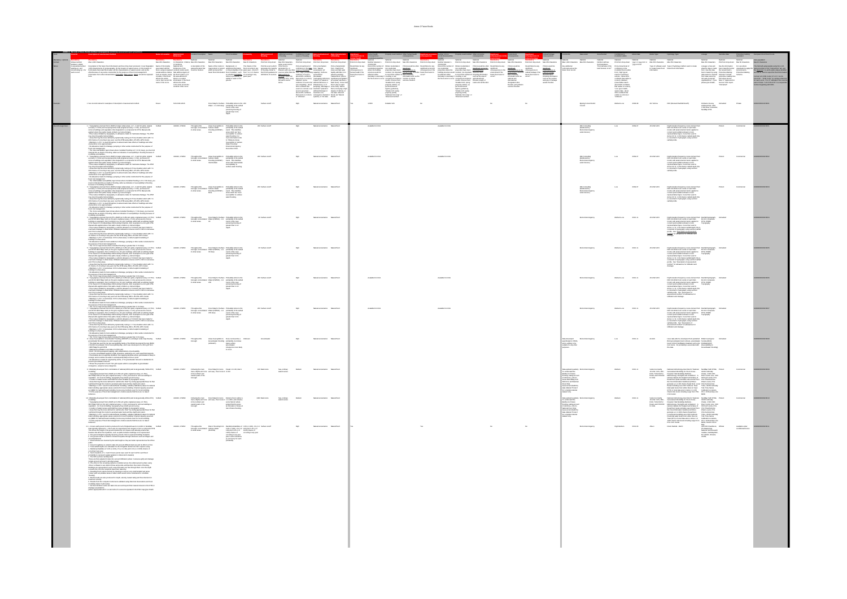| Mandatory / optional: Mandatory | ANNEX 2: Records of future floods and their consequences (preliminary assessment report spreadsheet)<br><b>Description of assessment method</b><br><b>Mandatory</b><br>Mandatory                                                                                                                                                                                                                                                                                                                                                                                                                                                                                                                                                                                                                                                                                                                                                                                                                                                                                                                                                                                                                                                                                                                                                                                                                                                                                                                                                                                                                                                                                                                                                                                                                                                                                                                                                                                                                                                                                                                                                                                                                                                                                                                                                                                                                                   | <b>Name of Location National Grid</b><br>Reference                                                                                                                                                                                                                                                                                                                                                                                                     | <b>Flood modelled Probability</b><br><b>Location Description</b> Name<br>Optional<br>Optional<br>Optional                                                                                                                                                                                                                                                                                                                            | <b>Main source of</b><br>flooding                                                                                     | of flooding<br>Optional<br>Optional                                                                                                                                                                                                                                                         | Additional source(s) Confidence in main Main mechanism of Main characteristic<br>source of flooding the <b>flooding</b><br>of flooding                                                                                                                                                                                                                                                                                                                                                                                                                                                                                                                                                                                                                                                                                                                                                                                                                                    | <b>Human health</b><br>iɑnificant<br><b>consequences to consequences -</b><br><b>Exercise Entitate:</b> residential properties<br>uman health <b>a</b><br>Optional<br>Optiona | consequences<br><b>Exercise Consequences</b><br>Optional                                                                                                                                                                                                                                                                                                                                                                                                                                                                       | Property count method Other human health Significant economic Number of non-<br>Property count method Other economic<br><b>Example 3</b> residential properties<br>consequences<br>Optional<br>Optional                                                                                                                                                                                                                                                                                                                                                                   | <b>Environment</b><br>Cultural heritage<br>nificant<br><b>Bianificant</b><br><b>consequences to the consequences</b><br>consequences<br><b>Consequences to</b><br><b>Cultural herita</b><br>Optiona<br>Optional<br>andatory                                                                                                                                                                                                                                                                                                                                                  | Data owner<br><b>Comments</b><br>Optional<br>Optiona                                                                                                                                                                                                                                                           | Area flooded<br>Confidence in Model date<br>modelled outline<br>Optional<br>Optional                                                                                                                                                                                                                                                                                                                                                                              | Model Type<br>Optional<br>Optional                                                    | Hydrology Type<br>Optional                                                                                                                                                                                                                                                                                                                                                                                                                                                                                                                                                                                                                                                                                                                                                                                                                                                           | Sensitive data<br>Lineage<br>Optional<br>Optional                                                                                                                                                                                                                                                                                                                                                                                                                                 | descriptor<br>Optional                 | Protective marking European Flood Event Code<br>Auto-populated                                                                                                                                                                                                                                                                                                                                                                                                                                                                                             |
|---------------------------------|--------------------------------------------------------------------------------------------------------------------------------------------------------------------------------------------------------------------------------------------------------------------------------------------------------------------------------------------------------------------------------------------------------------------------------------------------------------------------------------------------------------------------------------------------------------------------------------------------------------------------------------------------------------------------------------------------------------------------------------------------------------------------------------------------------------------------------------------------------------------------------------------------------------------------------------------------------------------------------------------------------------------------------------------------------------------------------------------------------------------------------------------------------------------------------------------------------------------------------------------------------------------------------------------------------------------------------------------------------------------------------------------------------------------------------------------------------------------------------------------------------------------------------------------------------------------------------------------------------------------------------------------------------------------------------------------------------------------------------------------------------------------------------------------------------------------------------------------------------------------------------------------------------------------------------------------------------------------------------------------------------------------------------------------------------------------------------------------------------------------------------------------------------------------------------------------------------------------------------------------------------------------------------------------------------------------------------------------------------------------------------------------------------------------|--------------------------------------------------------------------------------------------------------------------------------------------------------------------------------------------------------------------------------------------------------------------------------------------------------------------------------------------------------------------------------------------------------------------------------------------------------|--------------------------------------------------------------------------------------------------------------------------------------------------------------------------------------------------------------------------------------------------------------------------------------------------------------------------------------------------------------------------------------------------------------------------------------|-----------------------------------------------------------------------------------------------------------------------|---------------------------------------------------------------------------------------------------------------------------------------------------------------------------------------------------------------------------------------------------------------------------------------------|---------------------------------------------------------------------------------------------------------------------------------------------------------------------------------------------------------------------------------------------------------------------------------------------------------------------------------------------------------------------------------------------------------------------------------------------------------------------------------------------------------------------------------------------------------------------------------------------------------------------------------------------------------------------------------------------------------------------------------------------------------------------------------------------------------------------------------------------------------------------------------------------------------------------------------------------------------------------------|-------------------------------------------------------------------------------------------------------------------------------------------------------------------------------|--------------------------------------------------------------------------------------------------------------------------------------------------------------------------------------------------------------------------------------------------------------------------------------------------------------------------------------------------------------------------------------------------------------------------------------------------------------------------------------------------------------------------------|---------------------------------------------------------------------------------------------------------------------------------------------------------------------------------------------------------------------------------------------------------------------------------------------------------------------------------------------------------------------------------------------------------------------------------------------------------------------------------------------------------------------------------------------------------------------------|------------------------------------------------------------------------------------------------------------------------------------------------------------------------------------------------------------------------------------------------------------------------------------------------------------------------------------------------------------------------------------------------------------------------------------------------------------------------------------------------------------------------------------------------------------------------------|----------------------------------------------------------------------------------------------------------------------------------------------------------------------------------------------------------------------------------------------------------------------------------------------------------------|-------------------------------------------------------------------------------------------------------------------------------------------------------------------------------------------------------------------------------------------------------------------------------------------------------------------------------------------------------------------------------------------------------------------------------------------------------------------|---------------------------------------------------------------------------------------|--------------------------------------------------------------------------------------------------------------------------------------------------------------------------------------------------------------------------------------------------------------------------------------------------------------------------------------------------------------------------------------------------------------------------------------------------------------------------------------------------------------------------------------------------------------------------------------------------------------------------------------------------------------------------------------------------------------------------------------------------------------------------------------------------------------------------------------------------------------------------------------|-----------------------------------------------------------------------------------------------------------------------------------------------------------------------------------------------------------------------------------------------------------------------------------------------------------------------------------------------------------------------------------------------------------------------------------------------------------------------------------|----------------------------------------|------------------------------------------------------------------------------------------------------------------------------------------------------------------------------------------------------------------------------------------------------------------------------------------------------------------------------------------------------------------------------------------------------------------------------------------------------------------------------------------------------------------------------------------------------------|
| mat: w                          | Max 1,000 characters<br>Max 250 characters<br>Unique number<br>between 1-9999<br>A sequential numbe<br>Description of the future flood information and how it has been produced. Cover Requlation<br>12(6) requirements of (a) topography, (b) the location of watercourses, (c) the location of<br>starting at 1 and<br>flood plains that retain flood water, (d) the characteristics of watercourses, and (e) the<br>∣incrementina b∨ 1 fo<br>effectiveness of any works constructed for the purpose of flood risk management.<br>each record.<br>Information from other relevant fields (Probability, Main source, Name) should be repeated such as streets, towns, the flood extent, or of<br>hara                                                                                                                                                                                                                                                                                                                                                                                                                                                                                                                                                                                                                                                                                                                                                                                                                                                                                                                                                                                                                                                                                                                                                                                                                                                                                                                                                                                                                                                                                                                                                                                                                                                                                                             | l 0 numbers<br>Name of the locality<br>National Grid<br>associated with the Reference of the<br>flood, using recognised centroid (centre point.    could be flood،<br>postal address names falls within polygon) of<br>counties. If the flood the area affected if<br>affects the whole there is no extent<br>LLFA, then record the information. If the flood<br>name of the LLFA. affects the whole<br>LLFA, then record the<br>centroid of the LLFA. | Max 250 characters<br>Max 250 characters<br>12 characters: 2 letters, Max 250 characters<br>، A description<br>general location that map product or project additional information flood occuring in<br>on the probability of the given year - record X<br>future flood information<br>refers to probability of given year".<br>rainfall or water on the<br>ground.                                                                  | Max 25 characters<br>Pick from drop-down<br>as whether <b>Probability</b> of occurring in any definitions of sources. | Pick from drop-down<br>Max 250 characters,<br>same source terms<br>Pick a broad level of<br>interacts with, any other source of flooding<br>. Main source of<br>evidence of source -<br>flooding), report the about 80% confident (floodwater<br>the same source<br>terms.<br>or 'Unknown'. | Pick from drop-down Pick from drop-down<br>Pick a mechanism<br>from: 'Flash floo<br>confidence in the Main from; 'Natural<br>exceedance' (of<br>rises and falls quite)<br>rapidly with little or r<br>- exceedance'<br>advance warning<br>'Natural flood' (due to<br>source(s) here, using that source is correct), overtopping defences), significant precipitation<br>'Medium' (some 'Failure' (of natural or at a slower rate than a<br>evidence of source but artificial defences or flash flood), 'Snow melt<br>not compelling - about infrastructure, or of flood' (due to rapid<br>50% confident that pumping), 'Blockage or snow melt), 'Debris<br>source is correct) 'Low' restriction' (natural or flow' (conveying a high<br>(source assumed - artificial blockage or degree of debris), or<br>about 20% confident restriction of a The data'. Most UK<br>that source is correct) conveyance channel or floods are 'Natural<br>system), or 'No data'. floods'. | 10,000,000<br>Record the number of<br>affected either<br>¶future flood were to                                                                                                | Max 250 characters<br>Pick from drop-dow<br>Pick from drop-down<br>Significant<br>non-residential<br>to record the method of them including<br>occur?<br>internally or externally if counting, to aid information such as the<br>the flood were to occur. comparisons between number of critical<br>counts. Choose from; services flooded.<br>'Detailed GIS' (using<br>property outlines, as<br>per Environment<br>Agency guidance),<br>'Simple GIS' (using<br>property points),<br>'Estimate from map',<br>'Observed number'. | Max 250 characters<br>Pick from drop-down<br>Number between 1<br>10,000,000<br>Significant economic<br>to record the method of including information<br>be affected either<br>internally or externally if counting, to aid such as the area of<br>the flood were to occur. comparisons between agricultural land<br>counts. Choose from; flooded, length of<br>'Detailed GIS' (using roads and rail flooded.<br>property outlines, as<br>per Environment<br>Agency guidance)<br>'Simple GIS' (using<br>property points),<br>'Estimate from map', or<br>'Observed number'. | Pick from drop-down Max 250 characters<br>Pick from dron-down<br>Max 250 characters<br>lf there would b<br><b>Significant</b><br>significant<br>Significant<br>consequences t<br>environment, describe cultural heritage if the cultural heritage<br>future flood were to<br>future flood were to<br>them including<br>describe them<br>information such as<br>including information<br>occur?<br>occur?<br>such as the number<br>national and<br>international<br>and type of heritage<br>designated sites<br>assets flooded.<br>flooded, and pollution<br>sources flooded. | Max 1,000 characters Max 250 characters<br>Any additional<br>comments about the<br>future flood record                                                                                                                                                                                                         | Number with two<br>decimal places<br>The total area of the Pick a broad level of<br>land flooded, in $km^2$ confidence in the<br>modelled flood outline<br>from; 'High' (good<br>match to past flood<br>extents - about 80%<br>confident that outline is<br>correct), 'Medium'<br>(reasonable match<br>about 50% confident<br>that outline is correct),<br>'Low' (poor match,<br>sparse data - abou<br>20% confident that<br>outline is correct) or<br>'Unknown'. | 'yyyy-mm-dd'<br>information.                                                          | Type of software used Type of hydrology method used to r<br>to create future flood future flood information.                                                                                                                                                                                                                                                                                                                                                                                                                                                                                                                                                                                                                                                                                                                                                                         | Max 250 characters  Pick from drop-down  Max 50 characters<br>Lineage is how and Has the information For use where<br>from. Has this data the Government's<br>been created by using  Protective Marking  Protective Marking<br>data owned or derived Scheme? Include Scheme.<br>from data owned by protective marking time<br>3rd party (external) limit where known.<br>organisations? If yes  Note: If "Approved for<br>please give details. Access" then report<br>"Unmarked". | Government's                           | Max 42 characters<br>his field will autopopulate using the LLFA<br>what the data is made been classified under organisations apply the name provided on the "Instructions" tab, and<br>the Flood ID. It is an EU-wide unique identifier<br>and will be used to report the flood informatior<br>Format: UK <ons code=""><p f="" or=""><llfa<br>Flood ID&gt;. "ONS Code" is a unique reference<br/>for each LLFA. "P or F" indicates if the event is<br/>past or future. "LLFA Flood ID" is a sequential<br/>number beginning with 0001.</llfa<br></p></ons> |
| Example:                        | 1 See records below for examples of description of assessment method.                                                                                                                                                                                                                                                                                                                                                                                                                                                                                                                                                                                                                                                                                                                                                                                                                                                                                                                                                                                                                                                                                                                                                                                                                                                                                                                                                                                                                                                                                                                                                                                                                                                                                                                                                                                                                                                                                                                                                                                                                                                                                                                                                                                                                                                                                                                                              | Essex SX1234512345                                                                                                                                                                                                                                                                                                                                                                                                                                     | Flood Map for Surface Probability refers to the 200<br>Water - 1 in 200 deep probability of the rainfall<br>event, in this case<br>producing flooding of<br>greater than 0.3m<br>depth.                                                                                                                                                                                                                                              | Surface runoff                                                                                                        |                                                                                                                                                                                                                                                                                             | High Matural exceedance Natural flood Yes                                                                                                                                                                                                                                                                                                                                                                                                                                                                                                                                                                                                                                                                                                                                                                                                                                                                                                                                 | 12000<br>Detailed GIS                                                                                                                                                         |                                                                                                                                                                                                                                                                                                                                                                                                                                                                                                                                |                                                                                                                                                                                                                                                                                                                                                                                                                                                                                                                                                                           |                                                                                                                                                                                                                                                                                                                                                                                                                                                                                                                                                                              | <b>Epping Forest District</b><br>Council                                                                                                                                                                                                                                                                       |                                                                                                                                                                                                                                                                                                                                                                                                                                                                   |                                                                                       | Medium-Low 2008-08 2D-TuFlow FEH (Revised Rainfall Runoff)  Ordnance Survey Unmarked Private                                                                                                                                                                                                                                                                                                                                                                                                                                                                                                                                                                                                                                                                                                                                                                                         | AddressPoint; CEH<br>1:50k River Centreline;<br>NextMap DTM.                                                                                                                                                                                                                                                                                                                                                                                                                      |                                        | UKE10000012F0001                                                                                                                                                                                                                                                                                                                                                                                                                                                                                                                                           |
| Records begin here:             | 1 • Topography is derived from LIDAR (in larger urban areas, on 1, 2 and 3m grids; original Solihull<br>accuracy $\pm$ 0.15m) and Geoperspective data (original accuracy $\pm$ 1.5m), processed to<br>remove buildings and vegetation, then degraded to a composite 5m DTM. Manual edits<br>applied where flow paths clearly omitted e.g. below bridges.<br>• Flow routes dictated by topography; no allowance made for manmade drainage. The DTM<br>may miss flow paths below bridges.<br>• Areas that may flood are defined by dynamically routing a 6.5 hour duration storm with 1 in<br>200 chance of occurring in any year, over the DTM using JBA's JFLOW-GPU model.<br>• Manning's n of 0.1 is used throughout, to allow broad scale effects of buildings and other<br>obstructions to be approximated.<br>. No allowance made for drainage, pumping or other works constructed for the purpose of<br>flood risk management.<br>• The 'less susceptible' layer shows where modelled flooding is 0.1-0.3m deep; you must not                                                                                                                                                                                                                                                                                                                                                                                                                                                                                                                                                                                                                                                                                                                                                                                                                                                                                                                                                                                                                                                                                                                                                                                                                                                                                                                                                                                 | 418932, 279649                                                                                                                                                                                                                                                                                                                                                                                                                                         | Areas Susceptible to Probability refers to the<br>Throughout the<br>borough, concentrated Surface Water<br>probability of the rainfall<br>Flooding (AStSWF) - event. This identifies<br>in urban areas<br>areas which are 'less<br>susceptible' to surface<br>water flooding. For<br>more information refer<br>to "What are Areas<br><b>Susceptible to Surface</b><br>Water Flooding"<br><b>Environment Agency</b><br>December 2010. | 200 Surface runoff                                                                                                    |                                                                                                                                                                                                                                                                                             | Natural exceedance   Natural flood                                                                                                                                                                                                                                                                                                                                                                                                                                                                                                                                                                                                                                                                                                                                                                                                                                                                                                                                        | Available from EA                                                                                                                                                             |                                                                                                                                                                                                                                                                                                                                                                                                                                                                                                                                | Available from EA                                                                                                                                                                                                                                                                                                                                                                                                                                                                                                                                                         |                                                                                                                                                                                                                                                                                                                                                                                                                                                                                                                                                                              | <b>JBA Consulting</b><br>(distributed by<br><b>Environment Agency</b><br>under licence)                                                                                                                                                                                                                        | l ow                                                                                                                                                                                                                                                                                                                                                                                                                                                              | 2009-07<br>JFLOW-GPU                                                                  | Depth-duration-frequency curves derived from<br>FEH CD-ROM, from centre of each 5km<br>model, with areal reduction factor applied to<br>convert point rainfall estimate to more<br>representative figure. Curve then used to<br>derive 6.5 hr, 1:200 chance rainfall depth; this<br>is converted to hyetograph, using summer<br>rainfall profile.                                                                                                                                                                                                                                                                                                                                                                                                                                                                                                                                    | Protect                                                                                                                                                                                                                                                                                                                                                                                                                                                                           | Commercial                             | UKE08000029F0001                                                                                                                                                                                                                                                                                                                                                                                                                                                                                                                                           |
|                                 | interpret this as depth of flooding, rather as indicative of susceptibility to flooding because of<br>modelling uncertainties.<br>• Topography is derived from LIDAR (in larger urban areas, on 1, 2 and 3m grids; original Solihull<br>accuracy $\pm$ 0.15m) and Geoperspective data (original accuracy $\pm$ 1.5m), processed to<br>remove buildings and vegetation, then degraded to a composite 5m DTM. Manual edits<br>applied where flow paths clearly omitted e.g. below bridges.<br>• Flow routes dictated by topography; no allowance made for manmade drainage. The DTM<br>may miss flow paths below bridges.<br>• Areas that may flood are defined by dynamically routing a 6.5 hour duration storm with 1 in<br>200 chance of occurring in any year, over the DTM using JBA's JFLOW-GPU model.<br>• Manning's n of 0.1 is used throughout, to allow broad scale effects of buildings and other<br>obstructions to be approximated.<br>. No allowance made for drainage, pumping or other works constructed for the purpose of<br>flood risk management.                                                                                                                                                                                                                                                                                                                                                                                                                                                                                                                                                                                                                                                                                                                                                                                                                                                                                                                                                                                                                                                                                                                                                                                                                                                                                                                                                | 418932, 279650                                                                                                                                                                                                                                                                                                                                                                                                                                         | Probability refers to the<br>Areas Susceptible to<br>Throughout the<br>borough, concentrated Surface Water<br>probability of the rainfall<br>Flooding (AStSWF) - event. This identifies<br>in urban areas<br>areas with 'intermediate<br>Intermediate<br>susceptibility' to<br>surface water flooding.                                                                                                                               | 200 Surface runoff                                                                                                    | Hiah                                                                                                                                                                                                                                                                                        |                                                                                                                                                                                                                                                                                                                                                                                                                                                                                                                                                                                                                                                                                                                                                                                                                                                                                                                                                                           | Available from EA                                                                                                                                                             |                                                                                                                                                                                                                                                                                                                                                                                                                                                                                                                                | Available from EA                                                                                                                                                                                                                                                                                                                                                                                                                                                                                                                                                         |                                                                                                                                                                                                                                                                                                                                                                                                                                                                                                                                                                              | <b>JBA Consulting</b><br>(distributed by<br><b>Environment Agency</b><br>under licence)                                                                                                                                                                                                                        | Low                                                                                                                                                                                                                                                                                                                                                                                                                                                               | 2009-07<br>JFLOW-GPU                                                                  | Depth-duration-frequency curves derived from<br>FEH CD-ROM, from centre of each 5km<br>model, with areal reduction factor applied to<br>convert point rainfall estimate to more<br>representative figure. Curve then used to<br>derive 6.5 hr, 1:200 chance rainfall depth; this<br>is converted to hyetograph, using summer<br>rainfall profile.                                                                                                                                                                                                                                                                                                                                                                                                                                                                                                                                    | Protect                                                                                                                                                                                                                                                                                                                                                                                                                                                                           | Commercial                             | UKE08000029F0002                                                                                                                                                                                                                                                                                                                                                                                                                                                                                                                                           |
|                                 | • The 'intermediate susceptibility' layer shows where modelled flooding is 0.3-1.0m deep; you<br>must not interpret this as depth of flooding, rather as indicative of susceptibility to flooding<br>because of modelling uncertainties.<br>3 • Topography is derived from LIDAR (in larger urban areas, on 1, 2 and 3m grids; original Solihull<br>accuracy $\pm$ 0.15m) and Geoperspective data (original accuracy $\pm$ 1.5m), processed to<br>remove buildings and vegetation, then degraded to a composite 5m DTM. Manual edits<br>applied where flow paths clearly omitted e.g. below bridges.<br>• Flow routes dictated by topography; no allowance made for manmade drainage. The DTM<br>may miss flow paths below bridges.<br>• Areas that may flood are defined by dynamically routing a 6.5 hour duration storm with 1 in<br>200 chance of occurring in any year, over the DTM using JBA's JFLOW-GPU model.<br>• Manning's n of 0.1 is used throughout, to allow broad scale effects of buildings and other<br>obstructions to be approximated.<br>. No allowance made for drainage, pumping or other works constructed for the purpose of<br>flood risk management.                                                                                                                                                                                                                                                                                                                                                                                                                                                                                                                                                                                                                                                                                                                                                                                                                                                                                                                                                                                                                                                                                                                                                                                                                                    | 418932, 279651                                                                                                                                                                                                                                                                                                                                                                                                                                         | Throughout the<br>Areas Susceptible to Probability refers to the<br>borough, concentrated Surface Water<br>probability of the rainfall<br>Flooding (AStSWF) - event. This identifies<br>in urban areas<br>areas which are 'more<br>More<br>susceptible' to surface<br>water flooding.                                                                                                                                                | 200 Surface runoff                                                                                                    | Hiah                                                                                                                                                                                                                                                                                        |                                                                                                                                                                                                                                                                                                                                                                                                                                                                                                                                                                                                                                                                                                                                                                                                                                                                                                                                                                           |                                                                                                                                                                               |                                                                                                                                                                                                                                                                                                                                                                                                                                                                                                                                |                                                                                                                                                                                                                                                                                                                                                                                                                                                                                                                                                                           |                                                                                                                                                                                                                                                                                                                                                                                                                                                                                                                                                                              | <b>JBA Consulting</b><br>(distributed by<br><b>Environment Agency</b><br>under licence)                                                                                                                                                                                                                        | Low                                                                                                                                                                                                                                                                                                                                                                                                                                                               | 2009-07<br>JFLOW-GPU                                                                  | Depth-duration-frequency curves derived from<br>FEH CD-ROM, from centre of each 5km<br>model, with areal reduction factor applied to<br>convert point rainfall estimate to more<br>representative figure. Curve then used to<br>derive 6.5 hr, 1:200 chance rainfall depth; this<br>is converted to hyetograph, using summer<br>rainfall profile.                                                                                                                                                                                                                                                                                                                                                                                                                                                                                                                                    | Protect                                                                                                                                                                                                                                                                                                                                                                                                                                                                           | Commercial                             | UKE08000029F0003                                                                                                                                                                                                                                                                                                                                                                                                                                                                                                                                           |
|                                 | • The 'more susceptible' layer shows where modelled flooding is >1.0m deep; you must not<br>interpret this as depth of flooding, rather as indicative of susceptibility to flooding because of<br>modelling uncertainties.<br>4 • Topography is derived from 64.5% LIDAR (on 0.25m-2m grids; original accuracy ± 0.15m) Solihull<br>and 35.5% NEXTMap SAR (on 5m grid; original accuracy $\pm$ 1.0m), processed to remove<br>buildings & vegetation, then combined on a 2m grid; buildings added with an arbitrary height<br>of 5m based on OS MasterMap 2009 building footprints, then resampled to a 5m grid DTM.<br>Manual edits applied where flow paths clearly omitted e.g. below bridges.<br>• Flow routes dictated by topography; a uniform allowance of 12mm/hr has been made for<br>manmade drainage in urban areas. Infiltration allowance reduces runoff to 39% in rural areas<br>and 70% in urban areas.<br>• Areas that may flood are defined by dynamically routing a 1.1 hour duration storm with 1 in<br>30 chance of occurring in any year over the DTM using JBA's JFLOW-GPU model.<br>• Manning's n of 0.1 in rural areas; 0.03 in urban areas, to reflect explicit modelling of<br>buildings in urban areas.<br>. No allowance made for local variations in drainage, pumping or other works constructed for                                                                                                                                                                                                                                                                                                                                                                                                                                                                                                                                                                                                                                                                                                                                                                                                                                                                                                                                                                                                                                                                                  | 418932, 279652                                                                                                                                                                                                                                                                                                                                                                                                                                         | Throughout the<br>Flood Map for Surface Probability refers to the<br>borough, concentrated Water (FMfSW) - 1 in probability of the rainfall<br>event, in this case<br>in urban areas<br>producing flooding o<br>greater than 0.1m<br>depth.                                                                                                                                                                                          | 30 Surface runoff                                                                                                     | Hinh                                                                                                                                                                                                                                                                                        |                                                                                                                                                                                                                                                                                                                                                                                                                                                                                                                                                                                                                                                                                                                                                                                                                                                                                                                                                                           |                                                                                                                                                                               |                                                                                                                                                                                                                                                                                                                                                                                                                                                                                                                                |                                                                                                                                                                                                                                                                                                                                                                                                                                                                                                                                                                           |                                                                                                                                                                                                                                                                                                                                                                                                                                                                                                                                                                              | <b>Environment Agency</b>                                                                                                                                                                                                                                                                                      | Medium-Low                                                                                                                                                                                                                                                                                                                                                                                                                                                        | 2010-11<br>JFLOW-GPU                                                                  | FEH CD-ROM, from centre of each 5km EA 2m Composite<br>model, with areal reduction factor applied to DTM, OSMM<br>convert point rainfall estimate to more<br>representative figure. Curve then used to<br>derive 1.1 hr, 1:30 chance rainfall depth; this is<br>converted to hyetograph, using summer rainfall<br>profile. See "Description of assessment<br>method" for allowances for infiltration and<br>drainage.                                                                                                                                                                                                                                                                                                                                                                                                                                                                | Depth-duration-frequency curves derived from Rainfall Hyetograph, Unmarked<br>Topography                                                                                                                                                                                                                                                                                                                                                                                          |                                        | UKE08000029F0004                                                                                                                                                                                                                                                                                                                                                                                                                                                                                                                                           |
|                                 | the purpose of flood risk management.<br>• The '>0.1m' laver shows where modelled flooding is greater than 0.1m deep.<br>5 • Topography is derived from 64.5% LIDAR (on 0.25m-2m grids; original accuracy ± 0.15m) Solihull<br>and 35.5% NEXTMap SAR (on 5m grid; original accuracy $\pm$ 1.0m), processed to remove<br>buildings & vegetation, then combined on a 2m grid; buildings added with an arbitrary height<br>of 5m based on OS MasterMap 2009 building footprints, then resampled to a 5m grid DTM.<br>Manual edits applied where flow paths clearly omitted e.g. below bridges.<br>• Flow routes dictated by topography; a uniform allowance of 12mm/hr has been made for<br>manmade drainage in urban areas. Infiltration allowance reduces runoff to 39% in rural areas<br>and 70% in urban areas.<br>• Areas that may flood are defined by dynamically routing a 1.1 hour duration storm with 1 in<br>30 chance of occurring in any year over the DTM using JBA's JFLOW-GPU model.<br>• Manning's n of 0.1 in rural areas; 0.03 in urban areas, to reflect explicit modelling of<br>buildings in urban areas. The contract of the contract of the contract of the contract of the contract of the contract of the contract of the contract of the contract of the contract of the contract of the contract of the<br>. No allowance made for local variations in drainage, pumping or other works constructed for                                                                                                                                                                                                                                                                                                                                                                                                                                                                                                                                                                                                                                                                                                                                                                                                                                                                                                                                                                                   | 418932, 279653                                                                                                                                                                                                                                                                                                                                                                                                                                         | Throughout the Flood Map for Surface Probability refers to the<br>borough, concentrated Water (FMfSW) - 1 in probability of the rainfall<br>30 deep<br>in urban areas<br>event, in this case<br>producing flooding o<br>greater than 0.3m<br>depth.                                                                                                                                                                                  | 30 Surface runoff                                                                                                     |                                                                                                                                                                                                                                                                                             | Natural exceedance   Natural flood                                                                                                                                                                                                                                                                                                                                                                                                                                                                                                                                                                                                                                                                                                                                                                                                                                                                                                                                        |                                                                                                                                                                               |                                                                                                                                                                                                                                                                                                                                                                                                                                                                                                                                |                                                                                                                                                                                                                                                                                                                                                                                                                                                                                                                                                                           |                                                                                                                                                                                                                                                                                                                                                                                                                                                                                                                                                                              | <b>Environment Agency</b>                                                                                                                                                                                                                                                                                      | Medium-Low                                                                                                                                                                                                                                                                                                                                                                                                                                                        | 2010-11<br>JFLOW-GPU                                                                  | FEH CD-ROM, from centre of each 5km EA 2m Composite<br>model, with areal reduction factor applied to DTM, OSMM<br>convert point rainfall estimate to more<br>representative figure. Curve then used to<br>derive 1.1 hr, 1:30 chance rainfall depth; this is<br>converted to hyetograph, using summer rainfall<br>profile. See "Description of assessment<br>method" for allowances for infiltration and<br>drainage.                                                                                                                                                                                                                                                                                                                                                                                                                                                                | Depth-duration-frequency curves derived from Rainfall Hyetograph, Unmarked<br>Topography                                                                                                                                                                                                                                                                                                                                                                                          |                                        | UKE08000029F0005                                                                                                                                                                                                                                                                                                                                                                                                                                                                                                                                           |
|                                 | the purpose of flood risk management.<br>• The '>0.3m' layer shows where modelled flooding is greater than 0.3m deep.<br>6 • Topography is derived from 64.5% LIDAR (on 0.25m-2m grids; original accuracy ± 0.15m) Solihull<br>and 35.5% NEXTMap SAR (on 5m grid; original accuracy $\pm$ 1.0m), processed to remove<br>buildings & vegetation, then combined on a 2m grid; buildings added with an arbitrary height<br>of 5m based on OS MasterMap 2009 building footprints, then resampled to a 5m grid DTM.<br>Manual edits applied where flow paths clearly omitted e.g. below bridges.<br>• Flow routes dictated by topography; a uniform allowance of 12mm/hr has been made for<br>manmade drainage in urban areas. Infiltration allowance reduces runoff to 39% in rural areas<br>and 70% in urban areas.<br>• Areas that may flood are defined by dynamically routing a 1.1 hour duration storm with 1 in<br>200 chance of occurring in any year over the DTM using JBA's JFLOW-GPU model.<br>• Manning's n of 0.1 in rural areas; 0.03 in urban areas, to reflect explicit modelling of<br>buildings in urban areas.<br>. No allowance made for local variations in drainage, pumping or other works constructed for                                                                                                                                                                                                                                                                                                                                                                                                                                                                                                                                                                                                                                                                                                                                                                                                                                                                                                                                                                                                                                                                                                                                                                                      | 418932, 279654                                                                                                                                                                                                                                                                                                                                                                                                                                         | Flood Map for Surface Probability refers to the<br>Throughout the<br>borough, concentrated Water (FMfSW) - 1 in probability of the rainfall<br>event, in this case<br>200<br>in urban areas<br>producing flooding of<br>greater than 0.1m<br>depth.                                                                                                                                                                                  | 200 Surface runoff                                                                                                    | Hiah                                                                                                                                                                                                                                                                                        | Natural exceedance   Natural flood                                                                                                                                                                                                                                                                                                                                                                                                                                                                                                                                                                                                                                                                                                                                                                                                                                                                                                                                        | Available from EA                                                                                                                                                             |                                                                                                                                                                                                                                                                                                                                                                                                                                                                                                                                | Available from EA                                                                                                                                                                                                                                                                                                                                                                                                                                                                                                                                                         |                                                                                                                                                                                                                                                                                                                                                                                                                                                                                                                                                                              | <b>Environment Agency</b>                                                                                                                                                                                                                                                                                      | Medium-Low                                                                                                                                                                                                                                                                                                                                                                                                                                                        | 2010-11<br>JFLOW-GPU                                                                  | FEH CD-ROM, from centre of each 5km EA 2m Composite<br>model, with areal reduction factor applied to DTM, OSMM<br>convert point rainfall estimate to more<br>representative figure. Curve then used to<br>derive 1.1 hr, 1:200 chance rainfall depth; this<br>is converted to hyetograph, using summer<br>rainfall profile. See "Description of<br>assessment method" for allowances for<br>infiltration and drainage.                                                                                                                                                                                                                                                                                                                                                                                                                                                               | Depth-duration-frequency curves derived from Rainfall Hyetograph, Unmarked<br>Topography                                                                                                                                                                                                                                                                                                                                                                                          |                                        | UKE08000029F0006                                                                                                                                                                                                                                                                                                                                                                                                                                                                                                                                           |
|                                 | the purpose of flood risk management.<br>• The '>0.1m' layer shows where modelled flooding is greater than 0.1m deep.<br>7 • Topography is derived from 64.5% LIDAR (on 0.25m-2m grids; original accuracy ± 0.15m) Solihull<br>and 35.5% NEXTMap SAR (on 5m grid; original accuracy $\pm$ 1.0m), processed to remove<br>buildings & vegetation, then combined on a 2m grid; buildings added with an arbitrary height<br>of 5m based on OS MasterMap 2009 building footprints, then resampled to a 5m grid DTM.<br>Manual edits applied where flow paths clearly omitted e.g. below bridges.<br>• Flow routes dictated by topography; a uniform allowance of 12mm/hr has been made for<br>manmade drainage in urban areas. Infiltration allowance reduces runoff to 39% in rural areas<br>and 70% in urban areas.<br>• Areas that may flood are defined by dynamically routing a 1.1 hour duration storm with 1 in<br>200 chance of occurring in any year over the DTM using JBA's JFLOW-GPU model.<br>• Manning's n of 0.1 in rural areas; 0.03 in urban areas, to reflect explicit modelling of<br>buildings in urban areas.<br>. No allowance made for local variations in drainage, pumping or other works constructed for                                                                                                                                                                                                                                                                                                                                                                                                                                                                                                                                                                                                                                                                                                                                                                                                                                                                                                                                                                                                                                                                                                                                                                                      | 418932, 279655                                                                                                                                                                                                                                                                                                                                                                                                                                         | Throughout the<br>Flood Map for Surface Probability refers to the<br>borough, concentrated Water (FMfSW) - 1 in probability of the rainfall<br>200 deep<br>event, in this case<br>in urban areas<br>producing flooding of<br>greater than 0.3m<br>depth.                                                                                                                                                                             | 200 Surface runoff                                                                                                    |                                                                                                                                                                                                                                                                                             | Natural exceedance   Natural flood                                                                                                                                                                                                                                                                                                                                                                                                                                                                                                                                                                                                                                                                                                                                                                                                                                                                                                                                        | Available from EA                                                                                                                                                             |                                                                                                                                                                                                                                                                                                                                                                                                                                                                                                                                | Available from EA                                                                                                                                                                                                                                                                                                                                                                                                                                                                                                                                                         |                                                                                                                                                                                                                                                                                                                                                                                                                                                                                                                                                                              | <b>Environment Agency</b>                                                                                                                                                                                                                                                                                      | Medium-Low                                                                                                                                                                                                                                                                                                                                                                                                                                                        | JFLOW-GPU<br>2010-11                                                                  | FEH CD-ROM, from centre of each 5km EA 2m Composite<br>model, with areal reduction factor applied to DTM, OSMM<br>convert point rainfall estimate to more<br>representative figure. Curve then used to<br>derive 1.1 hr, 1:200 chance rainfall depth; this<br>is converted to hyetograph, using summer<br>rainfall profile. See "Description of<br>assessment method" for allowances for<br>infiltration and drainage.                                                                                                                                                                                                                                                                                                                                                                                                                                                               | Depth-duration-frequency curves derived from Rainfall Hyetograph, Unmarked<br>Topography                                                                                                                                                                                                                                                                                                                                                                                          |                                        | UKE08000029F0007                                                                                                                                                                                                                                                                                                                                                                                                                                                                                                                                           |
|                                 | the purpose of flood risk management.<br>• The '>0.3m' layer shows where modelled flooding is greater than 0.3m deep.<br>8 • Areas Susceptible to Groundwater Flooding (AStGWF) is a strategic scale map showing Solihull<br>groundwater flood areas on a 1km square grid<br>• This data has used the top two susceptibility bands of the British Geological Society (BGS)<br>1:50,000 Groundwater Flood Susceptibility Map, which was developed on a 50m grid from:<br>• NEXTMap 5m grid DTM.<br>• National Groundwater Level data on a 50m grid<br>• BGS 1:50 000 geological mapping, with classifications of permeability<br>• It covers consolidated aquifers (chalk, limestone, sandstone etc.) and superficial deposits<br>• Flood plains are not explicitly identified; the mapping identifies where groundwater is likely to<br>emerge, and not where the water is subsequently likely to flow or pond.<br>. No allowance is made for engineering works, or for groundwater rebound or abstraction to<br>prevent groundwater rebound.                                                                                                                                                                                                                                                                                                                                                                                                                                                                                                                                                                                                                                                                                                                                                                                                                                                                                                                                                                                                                                                                                                                                                                                                                                                                                                                                                                      | 418932, 279656                                                                                                                                                                                                                                                                                                                                                                                                                                         | Areas Susceptible to  Does not describe a  Unknown<br>Throughout the<br>Groundwater Flooding probability, but shows<br>borough<br>(AStGWF)<br>places where<br>groundwater<br>emergence more likely<br>to occur.                                                                                                                                                                                                                      | Groundwater                                                                                                           |                                                                                                                                                                                                                                                                                             | Natural exceedance   Natural flood                                                                                                                                                                                                                                                                                                                                                                                                                                                                                                                                                                                                                                                                                                                                                                                                                                                                                                                                        |                                                                                                                                                                               |                                                                                                                                                                                                                                                                                                                                                                                                                                                                                                                                |                                                                                                                                                                                                                                                                                                                                                                                                                                                                                                                                                                           |                                                                                                                                                                                                                                                                                                                                                                                                                                                                                                                                                                              | <b>Environment Agency</b><br>Data developed<br>specifically for PFRA,<br>and is unlikely to be<br>suitable for any other<br>purposes.                                                                                                                                                                          | Low                                                                                                                                                                                                                                                                                                                                                                                                                                                               | 2010-11<br>ArcGIS                                                                     | BGS groundwater level contours, groundwater Society (BGS)<br>levels in BGS WellMaster database and some DiGMapGB-50<br>river levels. No probability is associated with [Susceptibility to<br>this data.                                                                                                                                                                                                                                                                                                                                                                                                                                                                                                                                                                                                                                                                              | Uses data which is developed from published British Geological Unmarked<br>Groundwater Flooding].                                                                                                                                                                                                                                                                                                                                                                                 |                                        | UKE08000029F0008                                                                                                                                                                                                                                                                                                                                                                                                                                                                                                                                           |
|                                 | • Shows the proportion of each 1km grid square which is susceptible to groundwater<br>emergence, using four area categories.<br>9 • Modelling developed from combination of national (2004) and local (generally 1998-2010) Solihull<br>modelling.<br>• Topography derived from LIDAR (on 0.25m-2m grids; original accuracy ± 0.15m),<br>NEXTMap SAR (on 5m grid; original accuracy $\pm$ 1.0m), processed to remove buildings &<br>vegetation. For local modelling, topography may include ground survey.<br>• Location of watercourses and tidal flow routes dictated by topographic survey.<br>• Areas that may flood are defined for catchments > 3km <sup>2</sup> by routing appropriate flows for that<br>catchment through the model to ascertain water level and thus depth and extent.<br>• Manning's n of 0.1 used for national fluvial modelling; variable (calibrated) values for national<br>tidal modelling; appropriate values selected for local modelling. Channel capacity assumed<br>as QMED for national fluvial modelling; local survey methods used for local modelling.<br>• For the purpose of flood risk management, models assume that there are no raised                                                                                                                                                                                                                                                                                                                                                                                                                                                                                                                                                                                                                                                                                                                                                                                                                                                                                                                                                                                                                                                                                                                                                                                                                               | 418932, 279657                                                                                                                                                                                                                                                                                                                                                                                                                                         | Following the main Flood Map (for rivers Fluvial 1 in 100, tidal 1<br>rivers, Blythe and Cole and sea) - flood zone 3 in 200<br>in the northern and<br>eastern parts of the<br>borough                                                                                                                                                                                                                                               | 100 Main rivers                                                                                                       | Medium<br>Sea, ordinary<br>watercourses                                                                                                                                                                                                                                                     |                                                                                                                                                                                                                                                                                                                                                                                                                                                                                                                                                                                                                                                                                                                                                                                                                                                                                                                                                                           |                                                                                                                                                                               |                                                                                                                                                                                                                                                                                                                                                                                                                                                                                                                                |                                                                                                                                                                                                                                                                                                                                                                                                                                                                                                                                                                           |                                                                                                                                                                                                                                                                                                                                                                                                                                                                                                                                                                              | Data updated quarterly. Environment Agency<br>To understand the<br>likelihood of future<br>flooding, taking account<br>of defences, refer to<br><b>Areas Benefitting from</b><br>Defences and National<br>Flood Risk<br>Assessment (NaFRA)<br>data. Marked 'Protect'<br>for complete national<br>dataset only. | Medium                                                                                                                                                                                                                                                                                                                                                                                                                                                            | $2010 - 1$<br>Varies but mainly<br>JFLOW, ISIS, HEC-<br>RAS, TUFLOW for<br>for tidal. | Generalised Modelling for Flood Zones - UKHO Admiralty<br>Fluvial & Tidal Modelling Methods -<br>fluvial, and HYDROF Methodology, Strengths and Limitations". A River Centre Line, CEH<br>national dataset (for England and Wales) of FEH Q(T) Grids, POL<br>fluvial flood peak estimates was derived from CSX Peak Extreme<br>the Flood Estimation Handbook (FEH) to Water Levels, POL<br>generate a 1 in 100 chance fluvial flood. Local CS3 Astronomical<br>fluvial modelling uses FEH methods. Peak Tides, UKHO Admiralty<br>tidal water levels from either Dixon & Tawn Tide Time-Series<br>(DT3) or local data sets to derive 1 in 200 Calibration Locations,<br>chance tide levels including surge from POL   OS 1:10 Boundary Line                                                                                                                                           | National methodology described in "National NextMap SAR DTMe, Protect<br>Charts, 1:50K CEH                                                                                                                                                                                                                                                                                                                                                                                        | Commercial                             | UKE08000029F0009                                                                                                                                                                                                                                                                                                                                                                                                                                                                                                                                           |
|                                 | defences.<br>10 · Modelling developed from combination of national (2004) and local (generally 2004-2010) Solihull 418932, 279658 Following the main Flood Map (for rivers Extreme flood outline is<br>modelling.<br>• Topography derived from LIDAR (on 0.25m-2m grids; original accuracy ± 0.15m),<br>NEXTMap SAR (on 5m grid; original accuracy $\pm$ 1.0m), processed to remove buildings &<br>vegetation. For local modelling, topography may include ground survey.<br>• Location of watercourses and tidal flow routes dictated by topographic survey.<br>• Areas that may flood are defined for catchments > 3km <sup>2</sup> by routing appropriate flows for that<br>catchment through the model to ascertain water level and thus depth and extent.<br>• Manning's n of 0.1 used for national fluvial modelling; variable (calibrated) values for national<br>tidal modelling; appropriate values selected for local modelling. Channel capacity assumed<br>as QMED for national fluvial modelling; local survey methods used for local modelling.<br>• For the purpose of flood risk management, models assume that there are no raised<br>defences.                                                                                                                                                                                                                                                                                                                                                                                                                                                                                                                                                                                                                                                                                                                                                                                                                                                                                                                                                                                                                                                                                                                                                                                                                                                   |                                                                                                                                                                                                                                                                                                                                                                                                                                                        | rivers, Blythe and Cole and sea) - flood zone 2 1 in 1000, and includes<br>in the northern and<br>some historic where<br>judged that this gives<br>eastern parts of the<br>an indication of areas at<br>borough<br>risk of future flooding.                                                                                                                                                                                          |                                                                                                                       | 1000 Main rivers <b>Sea</b> , ordinary Medium<br>watercourses                                                                                                                                                                                                                               |                                                                                                                                                                                                                                                                                                                                                                                                                                                                                                                                                                                                                                                                                                                                                                                                                                                                                                                                                                           |                                                                                                                                                                               |                                                                                                                                                                                                                                                                                                                                                                                                                                                                                                                                |                                                                                                                                                                                                                                                                                                                                                                                                                                                                                                                                                                           |                                                                                                                                                                                                                                                                                                                                                                                                                                                                                                                                                                              | Data updated quarterly. Environment Agency<br>To understand the<br>likelihood of future<br>flooding, taking accoun<br>of defences, refer to<br>National Flood Risk<br>Assessment (NaFRA)<br>data. Marked 'Protect'<br>for complete national<br>dataset only.                                                   | Medium 2010-11                                                                                                                                                                                                                                                                                                                                                                                                                                                    | RAS, TUFLOW for<br>for tidal.                                                         | CSX model.<br>Varies but mainly Mational methodology described in "National NextMap SAR DTMe, Protect<br>JFLOW, ISIS, HEC- Generalised Modelling for Flood Zones - UKHO Admiralty<br>Fluvial & Tidal Modelling Methods -<br>fluvial, and HYDROF Methodology, Strengths and Limitations". A River Centre Line, CEH<br>national dataset (for England and Wales) of FEH Q(T) Grids, POL<br>fluvial flood peak estimates was derived from CSX Peak Extreme<br>the Flood Estimation Handbook (FEH) to Water Levels, POL<br>generate a 1 in 1000 chance fluvial flood. CS3 Astronomical<br>Local fluvial modelling uses FEH methods. Tides, UKHO Admiralty<br>Peak tidal water levels from either Dixon & Tide Time-Series<br>Tawn (DT3) or local data sets to derive 1 in Calibration Locations,<br>1000 chance tide levels including surge from  OS 1:10 Boundary Line<br>POL CSX model. | <b>MHW</b><br>Charts, 1:50K CEH<br>MHW, Historic Flood                                                                                                                                                                                                                                                                                                                                                                                                                            | Commercial                             | UKE08000029F0010                                                                                                                                                                                                                                                                                                                                                                                                                                                                                                                                           |
|                                 | 11 1. A bare earth ground model is produced for all of England based on LiDAR or NextMap Solihull<br>data typically captured to +-15cm and 1m respectively and merged to form a composite DTM.<br>This shows the height of the ground divided into 2m square cells allowing small scale<br>features that affect flood patterns, such as paths between buildings to be represented.<br>a. The ground height is typically raised by around 0.3m to represent building footprints<br>b. The ground model is edited to include flow paths through structures such as bridges and<br>rail embankments.<br>c. Road surfaces are lowered by the kerb height so they are better represented as flood flow<br>paths.<br>d. Ground roughness is varied to take into account different land use and its effect on flow.<br>2. Total rainfall depths are calculated for all of England divided into 5km squares using:<br>a. Rainfall probabilities of 3.3% (1 in30), 1% (1 in 100) and 0.1% (1 in 1000) chance of<br>occurring in any year<br>b. Storm durations of 1, 3 and 6 hours (worst case used for each cell for each flood<br>probability to represent spatial variation in critical storm duration)<br>c. The 50% summer rainfall profile<br>These are then adjusted to take into account infiltration (urban / rural area split) and drainage<br>(single amount removed in all urban areas).<br>3. The effect of the remaining rainfall is modelled across the edited ground surface using<br>JFlow+ software to see where it flows and ponds and therefore the extent of flooding.<br>Buildings are represented in such a way that water can flow through them once the depth<br>exceeds the 0.3m the footprints have been raised by.<br>4. Resulting flood extents derived by cleaning to remove very small isolated wet areas<br>('noise') and very shallow areas of water which would not be considered to constitute<br>'flooding'.<br>5. Model results are also produced for depth, velocity, hazard rating and flow direction for<br>maximum velocity.<br>6. Results from the computer model were validated using historical observations and local<br>modelling data in 3 pilot areas.<br>7. No flood defence works are taken into account beyond their natural inclusion in the DTM or<br>drainage assumptions<br>Iwhere appropriate add 8. Local model of xx area incorporated in RoFSW map (give details | 418932, 279652                                                                                                                                                                                                                                                                                                                                                                                                                                         | Risk of Flooding from<br>Throughout the<br>3.3% (1 in30), 1% (1 in 100) and 0.1% (1 in<br>borough, concentrated Surface Water<br>(RoFSW)<br>100) and 0.1% (1 in 1000) chance of<br>in urban areas<br>1000) chance of<br>occurring in any year<br>plus 3 storm durations<br>(1,3,6 hours) for each<br>probability.                                                                                                                    | Rainfall probabilities of 3.3% (1 in 30), 1% (1 in Surface runoff<br>occurring in any year                            | Hiah                                                                                                                                                                                                                                                                                        | Natural exceedance   Natural flood                                                                                                                                                                                                                                                                                                                                                                                                                                                                                                                                                                                                                                                                                                                                                                                                                                                                                                                                        |                                                                                                                                                                               |                                                                                                                                                                                                                                                                                                                                                                                                                                                                                                                                |                                                                                                                                                                                                                                                                                                                                                                                                                                                                                                                                                                           |                                                                                                                                                                                                                                                                                                                                                                                                                                                                                                                                                                              | <b>Environment Agency</b>                                                                                                                                                                                                                                                                                      | High-Medium                                                                                                                                                                                                                                                                                                                                                                                                                                                       | 2013-03<br>Jflow+                                                                     | <b>Direct Rainfall - ReFH</b>                                                                                                                                                                                                                                                                                                                                                                                                                                                                                                                                                                                                                                                                                                                                                                                                                                                        | CEH FEH Handbook, Official<br>OS Mastermap,<br>National Soil Research<br>Institute, NextMapSAR,<br>EA LiDAR, Infoterra<br>LiDAR,                                                                                                                                                                                                                                                                                                                                                  | Available under<br>conditional licence | JKE08000029F0011                                                                                                                                                                                                                                                                                                                                                                                                                                                                                                                                           |